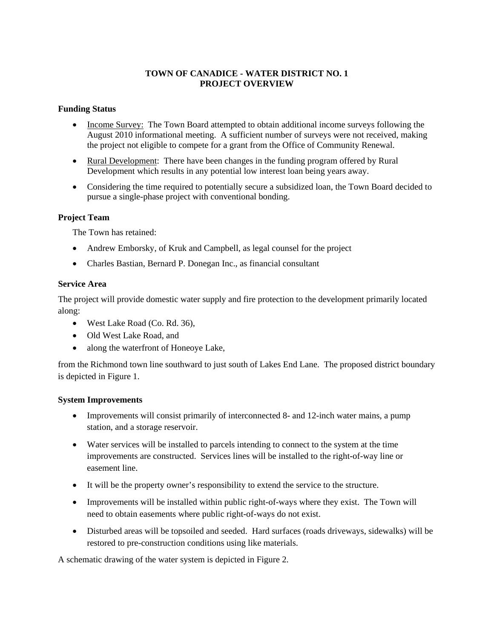# **TOWN OF CANADICE - WATER DISTRICT NO. 1 PROJECT OVERVIEW**

## **Funding Status**

- Income Survey: The Town Board attempted to obtain additional income surveys following the August 2010 informational meeting. A sufficient number of surveys were not received, making the project not eligible to compete for a grant from the Office of Community Renewal.
- Rural Development: There have been changes in the funding program offered by Rural Development which results in any potential low interest loan being years away.
- Considering the time required to potentially secure a subsidized loan, the Town Board decided to pursue a single-phase project with conventional bonding.

# **Project Team**

The Town has retained:

- Andrew Emborsky, of Kruk and Campbell, as legal counsel for the project
- Charles Bastian, Bernard P. Donegan Inc., as financial consultant

### **Service Area**

The project will provide domestic water supply and fire protection to the development primarily located along:

- West Lake Road (Co. Rd. 36),
- Old West Lake Road, and
- along the waterfront of Honeove Lake,

from the Richmond town line southward to just south of Lakes End Lane. The proposed district boundary is depicted in Figure 1.

### **System Improvements**

- Improvements will consist primarily of interconnected 8- and 12-inch water mains, a pump station, and a storage reservoir.
- Water services will be installed to parcels intending to connect to the system at the time improvements are constructed. Services lines will be installed to the right-of-way line or easement line.
- It will be the property owner's responsibility to extend the service to the structure.
- Improvements will be installed within public right-of-ways where they exist. The Town will need to obtain easements where public right-of-ways do not exist.
- Disturbed areas will be topsoiled and seeded. Hard surfaces (roads driveways, sidewalks) will be restored to pre-construction conditions using like materials.

A schematic drawing of the water system is depicted in Figure 2.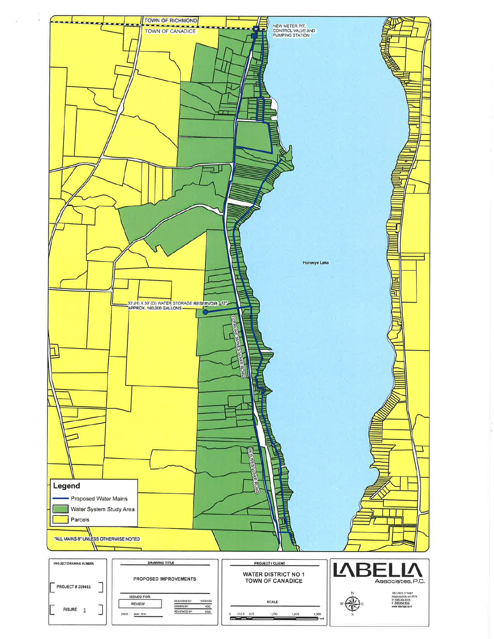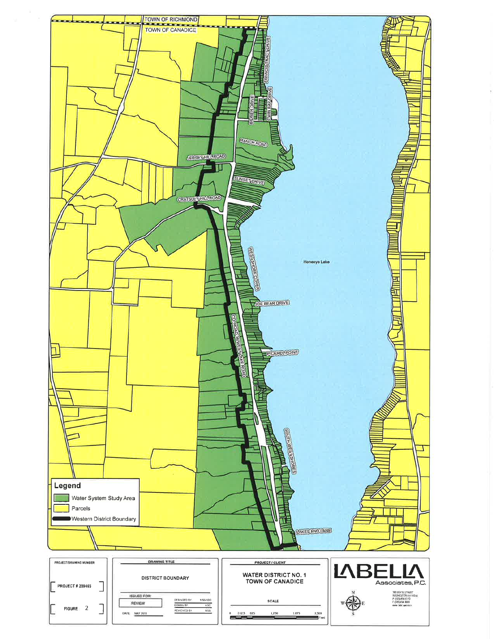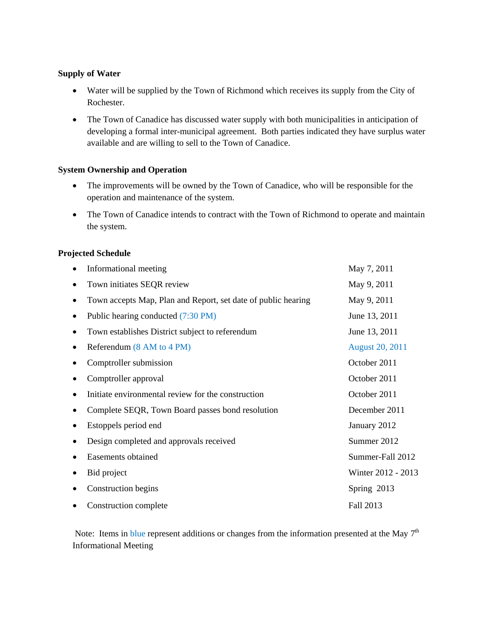## **Supply of Water**

- Water will be supplied by the Town of Richmond which receives its supply from the City of Rochester.
- The Town of Canadice has discussed water supply with both municipalities in anticipation of developing a formal inter-municipal agreement. Both parties indicated they have surplus water available and are willing to sell to the Town of Canadice.

### **System Ownership and Operation**

- The improvements will be owned by the Town of Canadice, who will be responsible for the operation and maintenance of the system.
- The Town of Canadice intends to contract with the Town of Richmond to operate and maintain the system.

# **Projected Schedule**

|           | Informational meeting                                         | May 7, 2011            |
|-----------|---------------------------------------------------------------|------------------------|
|           | Town initiates SEQR review                                    | May 9, 2011            |
|           | Town accepts Map, Plan and Report, set date of public hearing | May 9, 2011            |
|           | Public hearing conducted (7:30 PM)                            | June 13, 2011          |
| $\bullet$ | Town establishes District subject to referendum               | June 13, 2011          |
|           | Referendum (8 AM to 4 PM)                                     | <b>August 20, 2011</b> |
|           | Comptroller submission                                        | October 2011           |
|           | Comptroller approval                                          | October 2011           |
|           | Initiate environmental review for the construction            | October 2011           |
|           | Complete SEQR, Town Board passes bond resolution              | December 2011          |
|           | Estoppels period end                                          | January 2012           |
|           | Design completed and approvals received                       | Summer 2012            |
|           | Easements obtained                                            | Summer-Fall 2012       |
|           | Bid project                                                   | Winter 2012 - 2013     |
|           | Construction begins                                           | Spring 2013            |
|           | Construction complete                                         | Fall 2013              |

Note: Items in blue represent additions or changes from the information presented at the May  $7<sup>th</sup>$ Informational Meeting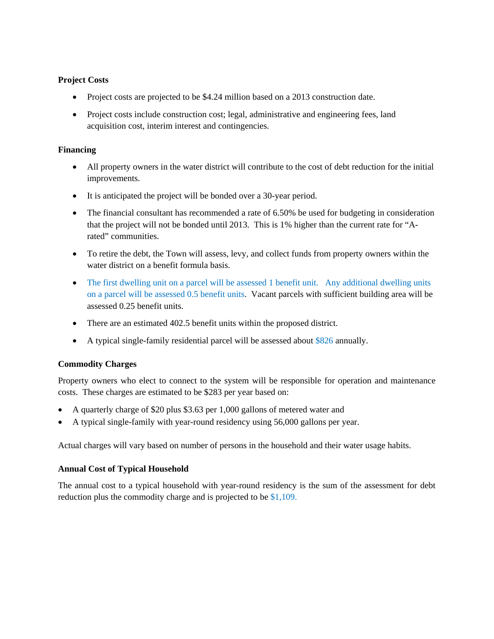# **Project Costs**

- Project costs are projected to be \$4.24 million based on a 2013 construction date.
- Project costs include construction cost; legal, administrative and engineering fees, land acquisition cost, interim interest and contingencies.

## **Financing**

- All property owners in the water district will contribute to the cost of debt reduction for the initial improvements.
- It is anticipated the project will be bonded over a 30-year period.
- The financial consultant has recommended a rate of 6.50% be used for budgeting in consideration that the project will not be bonded until 2013. This is 1% higher than the current rate for "Arated" communities.
- To retire the debt, the Town will assess, levy, and collect funds from property owners within the water district on a benefit formula basis.
- The first dwelling unit on a parcel will be assessed 1 benefit unit. Any additional dwelling units on a parcel will be assessed 0.5 benefit units. Vacant parcels with sufficient building area will be assessed 0.25 benefit units.
- There are an estimated 402.5 benefit units within the proposed district.
- A typical single-family residential parcel will be assessed about \$826 annually.

# **Commodity Charges**

Property owners who elect to connect to the system will be responsible for operation and maintenance costs. These charges are estimated to be \$283 per year based on:

- A quarterly charge of \$20 plus \$3.63 per 1,000 gallons of metered water and
- A typical single-family with year-round residency using 56,000 gallons per year.

Actual charges will vary based on number of persons in the household and their water usage habits.

### **Annual Cost of Typical Household**

The annual cost to a typical household with year-round residency is the sum of the assessment for debt reduction plus the commodity charge and is projected to be \$1,109.